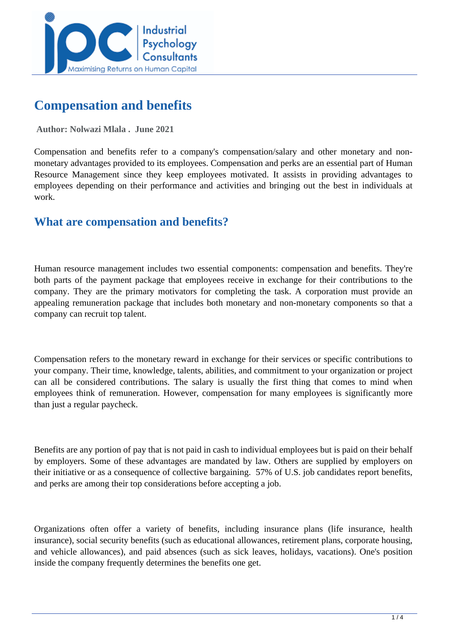

# **Compensation and benefits**

 **Author: Nolwazi Mlala . June 2021** 

Compensation and benefits refer to a company's compensation/salary and other monetary and nonmonetary advantages provided to its employees. Compensation and perks are an essential part of Human Resource Management since they keep employees motivated. It assists in providing advantages to employees depending on their performance and activities and bringing out the best in individuals at work.

# **What are compensation and benefits?**

Human resource management includes two essential components: compensation and benefits. They're both parts of the payment package that employees receive in exchange for their contributions to the company. They are the primary motivators for completing the task. A corporation must provide an appealing remuneration package that includes both monetary and non-monetary components so that a company can recruit top talent.

Compensation refers to the monetary reward in exchange for their services or specific contributions to your company. Their time, knowledge, talents, abilities, and commitment to your organization or project can all be considered contributions. The salary is usually the first thing that comes to mind when employees think of remuneration. However, compensation for many employees is significantly more than just a regular paycheck.

Benefits are any portion of pay that is not paid in cash to individual employees but is paid on their behalf by employers. Some of these advantages are mandated by law. Others are supplied by employers on their initiative or as a consequence of collective bargaining. 57% of U.S. job candidates report benefits, and perks are among their top considerations before accepting a job.

Organizations often offer a variety of benefits, including insurance plans (life insurance, health insurance), social security benefits (such as educational allowances, retirement plans, corporate housing, and vehicle allowances), and paid absences (such as sick leaves, holidays, vacations). One's position inside the company frequently determines the benefits one get.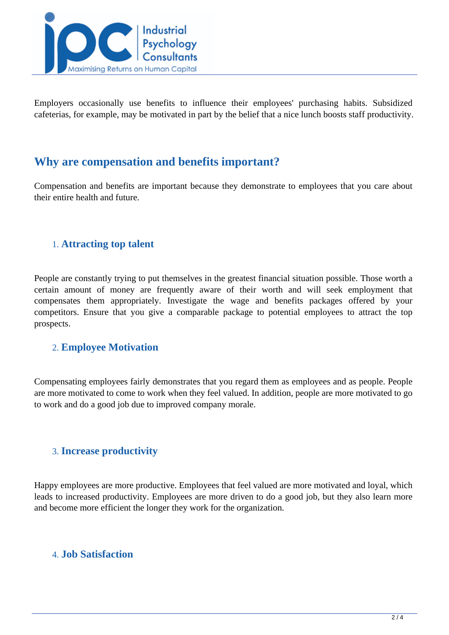

Employers occasionally use benefits to influence their employees' purchasing habits. Subsidized cafeterias, for example, may be motivated in part by the belief that a nice lunch boosts staff productivity.

## **Why are compensation and benefits important?**

Compensation and benefits are important because they demonstrate to employees that you care about their entire health and future.

## 1. **Attracting top talent**

People are constantly trying to put themselves in the greatest financial situation possible. Those worth a certain amount of money are frequently aware of their worth and will seek employment that compensates them appropriately. Investigate the wage and benefits packages offered by your competitors. Ensure that you give a comparable package to potential employees to attract the top prospects.

## 2. **Employee Motivation**

Compensating employees fairly demonstrates that you regard them as employees and as people. People are more motivated to come to work when they feel valued. In addition, people are more motivated to go to work and do a good job due to improved company morale.

## 3. **Increase productivity**

Happy employees are more productive. Employees that feel valued are more motivated and loyal, which leads to increased productivity. Employees are more driven to do a good job, but they also learn more and become more efficient the longer they work for the organization.

## 4. **Job Satisfaction**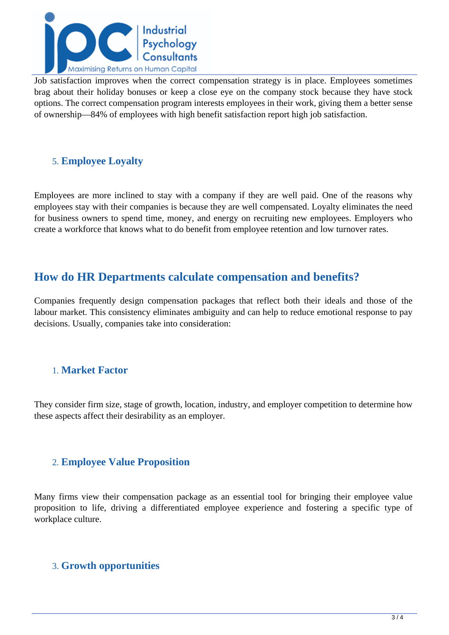

Job satisfaction improves when the correct compensation strategy is in place. Employees sometimes brag about their holiday bonuses or keep a close eye on the company stock because they have stock options. The correct compensation program interests employees in their work, giving them a better sense of ownership—84% of employees with high benefit satisfaction report high job satisfaction.

## 5. **Employee Loyalty**

Employees are more inclined to stay with a company if they are well paid. One of the reasons why employees stay with their companies is because they are well compensated. Loyalty eliminates the need for business owners to spend time, money, and energy on recruiting new employees. Employers who create a workforce that knows what to do benefit from employee retention and low turnover rates.

# **How do HR Departments calculate compensation and benefits?**

Companies frequently design compensation packages that reflect both their ideals and those of the labour market. This consistency eliminates ambiguity and can help to reduce emotional response to pay decisions. Usually, companies take into consideration:

## 1. **Market Factor**

They consider firm size, stage of growth, location, industry, and employer competition to determine how these aspects affect their desirability as an employer.

## 2. **Employee Value Proposition**

Many firms view their compensation package as an essential tool for bringing their employee value proposition to life, driving a differentiated employee experience and fostering a specific type of workplace culture.

## 3. **Growth opportunities**